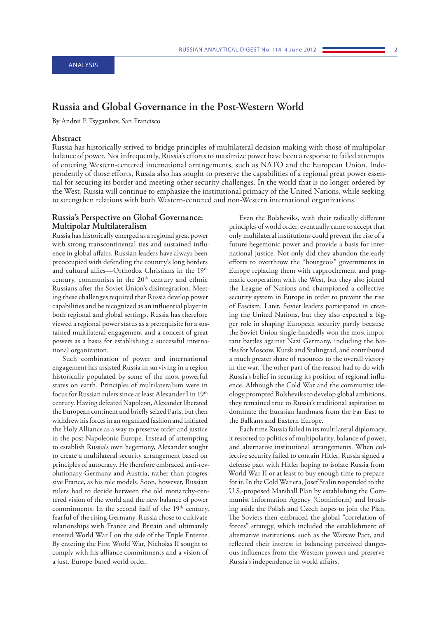# **Russia and Global Governance in the Post-Western World**

By Andrei P. Tsygankov, San Francisco

## **Abstract**

Russia has historically strived to bridge principles of multilateral decision making with those of multipolar balance of power. Not infrequently, Russia's efforts to maximize power have been a response to failed attempts of entering Western-centered international arrangements, such as NATO and the European Union. Independently of those efforts, Russia also has sought to preserve the capabilities of a regional great power essential for securing its border and meeting other security challenges. In the world that is no longer ordered by the West, Russia will continue to emphasize the institutional primacy of the United Nations, while seeking to strengthen relations with both Western-centered and non-Western international organizations.

### **Russia's Perspective on Global Governance: Multipolar Multilateralism**

Russia has historically emerged as a regional great power with strong transcontinental ties and sustained influence in global affairs. Russian leaders have always been preoccupied with defending the country's long borders and cultural allies—Orthodox Christians in the 19th century, communists in the 20<sup>th</sup> century and ethnic Russians after the Soviet Union's disintegration. Meeting these challenges required that Russia develop power capabilities and be recognized as an influential player in both regional and global settings. Russia has therefore viewed a regional power status as a prerequisite for a sustained multilateral engagement and a concert of great powers as a basis for establishing a successful international organization.

Such combination of power and international engagement has assisted Russia in surviving in a region historically populated by some of the most powerful states on earth. Principles of multilateralism were in focus for Russian rulers since at least Alexander I in 19th century. Having defeated Napoleon, Alexander liberated the European continent and briefly seized Paris, but then withdrew his forces in an organized fashion and initiated the Holy Alliance as a way to preserve order and justice in the post-Napoleonic Europe. Instead of attempting to establish Russia's own hegemony, Alexander sought to create a multilateral security arrangement based on principles of autocracy. He therefore embraced anti-revolutionary Germany and Austria, rather than progressive France, as his role models. Soon, however, Russian rulers had to decide between the old monarchy-centered vision of the world and the new balance of power commitments. In the second half of the 19<sup>th</sup> century, fearful of the rising Germany, Russia chose to cultivate relationships with France and Britain and ultimately entered World War I on the side of the Triple Entente. By entering the First World War, Nicholas II sought to comply with his alliance commitments and a vision of a just, Europe-based world order.

Even the Bolsheviks, with their radically different principles of world order, eventually came to accept that only multilateral institutions could prevent the rise of a future hegemonic power and provide a basis for international justice. Not only did they abandon the early efforts to overthrow the "bourgeois" governments in Europe replacing them with rapprochement and pragmatic cooperation with the West, but they also joined the League of Nations and championed a collective security system in Europe in order to prevent the rise of Fascism. Later, Soviet leaders participated in creating the United Nations, but they also expected a bigger role in shaping European security partly because the Soviet Union single-handedly won the most important battles against Nazi Germany, including the battles for Moscow, Kursk and Stalingrad, and contributed a much greater share of resources to the overall victory in the war. The other part of the reason had to do with Russia's belief in securing its position of regional influence. Although the Cold War and the communist ideology prompted Bolsheviks to develop global ambitions, they remained true to Russia's traditional aspiration to dominate the Eurasian landmass from the Far East to the Balkans and Eastern Europe.

Each time Russia failed in its multilateral diplomacy, it resorted to politics of multipolarity, balance of power, and alternative institutional arrangements. When collective security failed to contain Hitler, Russia signed a defense pact with Hitler hoping to isolate Russia from World War II or at least to buy enough time to prepare for it. In the Cold War era, Josef Stalin responded to the U.S.-proposed Marshall Plan by establishing the Communist Information Agency (Cominform) and brushing aside the Polish and Czech hopes to join the Plan. The Soviets then embraced the global "correlation of forces" strategy, which included the establishment of alternative institutions, such as the Warsaw Pact, and reflected their interest in balancing perceived dangerous influences from the Western powers and preserve Russia's independence in world affairs.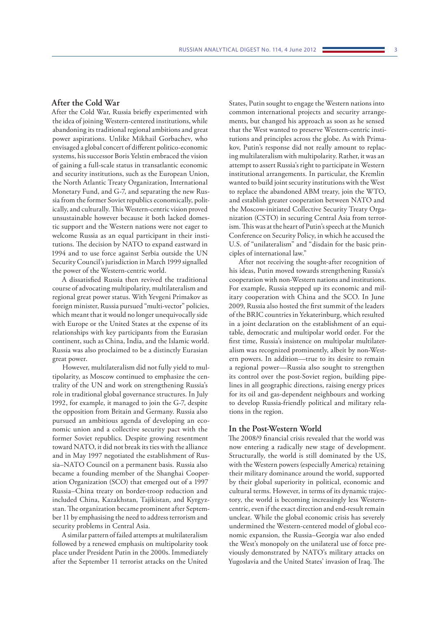#### **After the Cold War**

After the Cold War, Russia briefly experimented with the idea of joining Western-centered institutions, while abandoning its traditional regional ambitions and great power aspirations. Unlike Mikhail Gorbachev, who envisaged a global concert of different politico-economic systems, his successor Boris Yelstin embraced the vision of gaining a full-scale status in transatlantic economic and security institutions, such as the European Union, the North Atlantic Treaty Organization, International Monetary Fund, and G-7, and separating the new Russia from the former Soviet republics economically, politically, and culturally. This Western-centric vision proved unsustainable however because it both lacked domestic support and the Western nations were not eager to welcome Russia as an equal participant in their institutions. The decision by NATO to expand eastward in 1994 and to use force against Serbia outside the UN Security Council's jurisdiction in March 1999 signalled the power of the Western-centric world.

A dissatisfied Russia then revived the traditional course of advocating multipolarity, multilateralism and regional great power status. With Yevgeni Primakov as foreign minister, Russia pursued "multi-vector" policies, which meant that it would no longer unequivocally side with Europe or the United States at the expense of its relationships with key participants from the Eurasian continent, such as China, India, and the Islamic world. Russia was also proclaimed to be a distinctly Eurasian great power.

However, multilateralism did not fully yield to multipolarity, as Moscow continued to emphasize the centrality of the UN and work on strengthening Russia's role in traditional global governance structures. In July 1992, for example, it managed to join the G-7, despite the opposition from Britain and Germany. Russia also pursued an ambitious agenda of developing an economic union and a collective security pact with the former Soviet republics. Despite growing resentment toward NATO, it did not break its ties with the alliance and in May 1997 negotiated the establishment of Russia–NATO Council on a permanent basis. Russia also became a founding member of the Shanghai Cooperation Organization (SCO) that emerged out of a 1997 Russia–China treaty on border-troop reduction and included China, Kazakhstan, Tajikistan, and Kyrgyzstan. The organization became prominent after September 11 by emphasising the need to address terrorism and security problems in Central Asia.

A similar pattern of failed attempts at multilateralism followed by a renewed emphasis on multipolarity took place under President Putin in the 2000s. Immediately after the September 11 terrorist attacks on the United

States, Putin sought to engage the Western nations into common international projects and security arrangements, but changed his approach as soon as he sensed that the West wanted to preserve Western-centric institutions and principles across the globe. As with Primakov, Putin's response did not really amount to replacing multilateralism with multipolarity. Rather, it was an attempt to assert Russia's right to participate in Western institutional arrangements. In particular, the Kremlin wanted to build joint security institutions with the West to replace the abandoned ABM treaty, join the WTO, and establish greater cooperation between NATO and the Moscow-initiated Collective Security Treaty Organization (CSTO) in securing Central Asia from terrorism. This was at the heart of Putin's speech at the Munich Conference on Security Policy, in which he accused the U.S. of "unilateralism" and "disdain for the basic principles of international law."

After not receiving the sought-after recognition of his ideas, Putin moved towards strengthening Russia's cooperation with non-Western nations and institutions. For example, Russia stepped up its economic and military cooperation with China and the SCO. In June 2009, Russia also hosted the first summit of the leaders of the BRIC countries in Yekaterinburg, which resulted in a joint declaration on the establishment of an equitable, democratic and multipolar world order. For the first time, Russia's insistence on multipolar multilateralism was recognized prominently, albeit by non-Western powers. In addition—true to its desire to remain a regional power—Russia also sought to strengthen its control over the post-Soviet region, building pipelines in all geographic directions, raising energy prices for its oil and gas-dependent neighbours and working to develop Russia-friendly political and military relations in the region.

## **In the Post-Western World**

The 2008/9 financial crisis revealed that the world was now entering a radically new stage of development. Structurally, the world is still dominated by the US, with the Western powers (especially America) retaining their military dominance around the world, supported by their global superiority in political, economic and cultural terms. However, in terms of its dynamic trajectory, the world is becoming increasingly less Westerncentric, even if the exact direction and end-result remain unclear. While the global economic crisis has severely undermined the Western-centered model of global economic expansion, the Russia–Georgia war also ended the West's monopoly on the unilateral use of force previously demonstrated by NATO's military attacks on Yugoslavia and the United States' invasion of Iraq. The